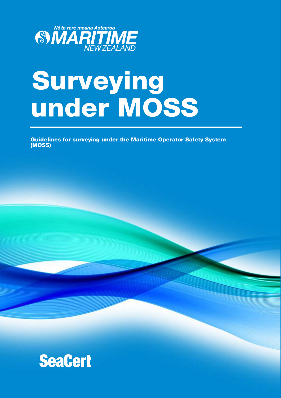

# Surveying under MOSS

Guidelines for surveying under the Maritime Operator Safety System (MOSS)

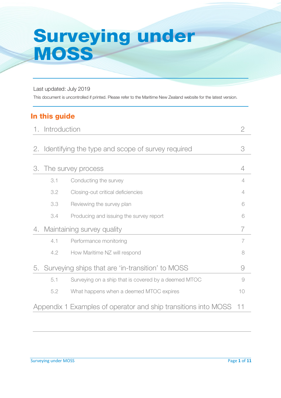# Surveying under **MOSS**

Last updated: July 2019

This document is uncontrolled if printed. Please refer to the Maritime New Zealand website for the latest version.

# In this guide

|                                                                      | 1. Introduction    |                                                      | 2              |
|----------------------------------------------------------------------|--------------------|------------------------------------------------------|----------------|
|                                                                      |                    |                                                      |                |
| 2.                                                                   |                    | Identifying the type and scope of survey required    | 3              |
|                                                                      |                    |                                                      |                |
| 3.                                                                   | The survey process |                                                      | 4              |
|                                                                      | 3.1                | Conducting the survey                                | 4              |
|                                                                      | 3.2                | Closing-out critical deficiencies                    | 4              |
|                                                                      | 3.3                | Reviewing the survey plan                            | 6              |
|                                                                      | 3.4                | Producing and issuing the survey report              | 6              |
| 4.                                                                   |                    | Maintaining survey quality                           | 7              |
|                                                                      | 4.1                | Performance monitoring                               | $\overline{7}$ |
|                                                                      | 4.2                | How Maritime NZ will respond                         | 8              |
| 5.                                                                   |                    | Surveying ships that are 'in-transition' to MOSS     | $\Theta$       |
|                                                                      | 5.1                | Surveying on a ship that is covered by a deemed MTOC | 9              |
|                                                                      | 5.2                | What happens when a deemed MTOC expires              | 10             |
| Appendix 1 Examples of operator and ship transitions into MOSS<br>11 |                    |                                                      |                |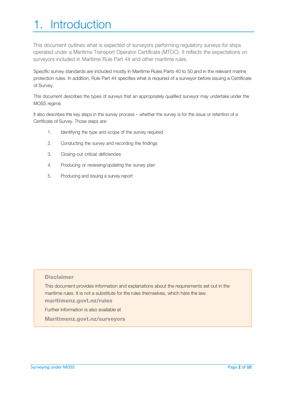# 1. Introduction

This document outlines what is expected of surveyors performing regulatory surveys for ships operated under a Maritime Transport Operator Certificate (MTOC). It reflects the expectations on surveyors included in Maritime Rule Part 44 and other maritime rules.

Specific survey standards are included mostly in Maritime Rules Parts 40 to 50 and in the relevant marine protection rules. In addition, Rule Part 44 specifies what is required of a surveyor before issuing a Certificate of Survey.

This document describes the types of surveys that an appropriately qualified surveyor may undertake under the MOSS regime.

It also describes the key steps in the survey process – whether the survey is for the issue or retention of a Certificate of Survey. Those steps are:

- 1. Identifying the type and scope of the survey required
- 2. Conducting the survey and recording the findings
- 3. Closing-out critical deficiencies
- 4. Producing or reviewing/updating the survey plan
- 5. Producing and issuing a survey report

#### **Disclaimer**

This document provides information and explanations about the requirements set out in the maritime rules. It is not a substitute for the rules themselves, which hare the law. maritimenz.govt.nz/rules Further information is also available at

Maritimenz.govt.nz/surveyors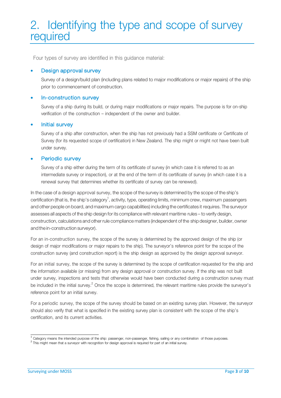# 2. Identifying the type and scope of survey required

Four types of survey are identified in this guidance material:

#### • Design approval survey

Survey of a design/build plan (including plans related to major modifications or major repairs) of the ship prior to commencement of construction.

#### • In-construction survey

Survey of a ship during its build, or during major modifications or major repairs. The purpose is for on-ship verification of the construction – independent of the owner and builder.

#### • Initial survey

Survey of a ship after construction, when the ship has not previously had a SSM certificate or Certificate of Survey (for its requested scope of certification) in New Zealand. The ship might or might not have been built under survey.

#### Periodic survey

Survey of a ship either during the term of its certificate of survey (in which case it is referred to as an intermediate survey or inspection), or at the end of the term of its certificate of survey (in which case it is a renewal survey that determines whether its certificate of survey can be renewed).

In the case of a design approval survey, the scope of the survey is determined by the scope of the ship's certification (that is, the ship's category $^1$ , activity, type, operating limits, minimum crew, maximum passengers and other people on board, and maximum cargo capabilities) including the certificates it requires. The surveyor assesses all aspects of the ship design for its compliance with relevant maritime rules – to verify design, construction, calculations and other rule compliance matters (independent of the shipdesigner, builder, owner and the in-construction surveyor).

For an in-construction survey, the scope of the survey is determined by the approved design of the ship (or design of major modifications or major repairs to the ship). The surveyor's reference point for the scope of the construction survey (and construction report) is the ship design as approved by the design approval surveyor.

For an initial survey, the scope of the survey is determined by the scope of certification requested for the ship and the information available (or missing) from any design approval or construction survey. If the ship was not built under survey, inspections and tests that otherwise would have been conducted during a construction survey must be included in the initial survey.<sup>2</sup> Once the scope is determined, the relevant maritime rules provide the surveyor's reference point for an initial survey.

For a periodic survey, the scope of the survey should be based on an existing survey plan. However, the surveyor should also verify that what is specified in the existing survey plan is consistent with the scope of the ship's certification, and its current activities.

<sup>1</sup>Category means the intended purpose of the ship: passenger, non-passenger, fishing, sailing or any combination of those purposes.

 $2$  This might mean that a surveyor with recognition for design approval is required for part of an initial survey.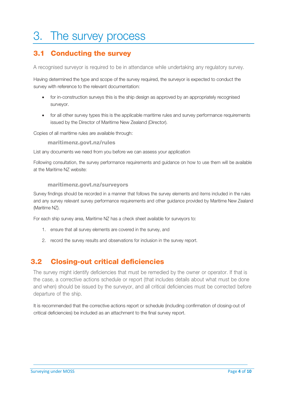# 3. The survey process

### 3.1 Conducting the survey

A recognised surveyor is required to be in attendance while undertaking any regulatory survey.

Having determined the type and scope of the survey required, the surveyor is expected to conduct the survey with reference to the relevant documentation:

- for in-construction surveys this is the ship design as approved by an appropriately recognised surveyor.
- for all other survey types this is the applicable maritime rules and survey performance requirements issued by the Director of Maritime New Zealand (Director).

Copies of all maritime rules are available through:

maritimenz.govt.nz/rules

List any documents we need from you before we can assess your application

Following consultation, the survey performance requirements and guidance on how to use them will be available at the Maritime NZ website:

#### maritimenz.govt.nz/surveyors

Survey findings should be recorded in a manner that follows the survey elements and items included in the rules and any survey relevant survey performance requirements and other guidance provided by Maritime New Zealand (Maritime NZ).

For each ship survey area, Maritime NZ has a check sheet available for surveyors to:

- 1. ensure that all survey elements are covered in the survey, and
- 2. record the survey results and observations for inclusion in the survey report.

### 3.2 Closing-out critical deficiencies

The survey might identify deficiencies that must be remedied by the owner or operator. If that is the case, a corrective actions schedule or report (that includes details about what must be done and when) should be issued by the surveyor, and all critical deficiencies must be corrected before departure of the ship.

It is recommended that the corrective actions report or schedule (including confirmation of closing-out of critical deficiencies) be included as an attachment to the final survey report.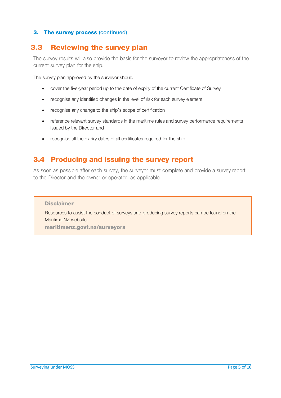#### 3. The survey process (continued)

### 3.3 Reviewing the survey plan

The survey results will also provide the basis for the surveyor to review the appropriateness of the current survey plan for the ship.

The survey plan approved by the surveyor should:

- cover the five-year period up to the date of expiry of the current Certificate of Survey
- recognise any identified changes in the level of risk for each survey element
- recognise any change to the ship's scope of certification
- reference relevant survey standards in the maritime rules and survey performance requirements issued by the Director and
- recognise all the expiry dates of all certificates required for the ship.

### 3.4 Producing and issuing the survey report

As soon as possible after each survey, the surveyor must complete and provide a survey report to the Director and the owner or operator, as applicable.

#### **Disclaimer**

Resources to assist the conduct of surveys and producing survey reports can be found on the Maritime NZ website.

maritimenz.govt.nz/surveyors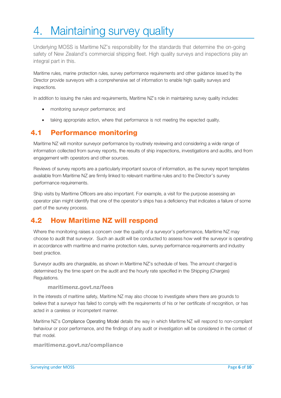# 4. Maintaining survey quality

Underlying MOSS is Maritime NZ's responsibility for the standards that determine the on-going safety of New Zealand's commercial shipping fleet. High quality surveys and inspections play an integral part in this.

Maritime rules, marine protection rules, survey performance requirements and other guidance issued by the Director provide surveyors with a comprehensive set of information to enable high quality surveys and inspections.

In addition to issuing the rules and requirements, Maritime NZ's role in maintaining survey quality includes:

- monitoring surveyor performance; and
- taking appropriate action, where that performance is not meeting the expected quality.

### 4.1 Performance monitoring

Maritime NZ will monitor surveyor performance by routinely reviewing and considering a wide range of information collected from survey reports, the results of ship inspections, investigations and audits, and from engagement with operators and other sources.

Reviews of survey reports are a particularly important source of information, as the survey report templates available from Maritime NZ are firmly linked to relevant maritime rules and to the Director's survey performance requirements.

Ship visits by Maritime Officers are also important. For example, a visit for the purpose assessing an operator plan might identify that one of the operator's ships has a deficiency that indicates a failure of some part of the survey process.

### 4.2 How Maritime NZ will respond

Where the monitoring raises a concern over the quality of a surveyor's performance, Maritime NZ may choose to audit that surveyor. Such an audit will be conducted to assess how well the surveyor is operating in accordance with maritime and marine protection rules, survey performance requirements and industry best practice.

Surveyor audits are chargeable, as shown in Maritime NZ's schedule of fees. The amount charged is determined by the time spent on the audit and the hourly rate specified in the Shipping (Charges) Regulations.

#### maritimenz.govt.nz/fees

In the interests of maritime safety, Maritime NZ may also choose to investigate where there are grounds to believe that a surveyor has failed to comply with the requirements of his or her certificate of recognition, or has acted in a careless or incompetent manner.

Maritime NZ's Compliance Operating Model details the way in which Maritime NZ will respond to non-compliant behaviour or poor performance, and the findings of any audit or investigation will be considered in the context of that model.

maritimenz.govt.nz/compliance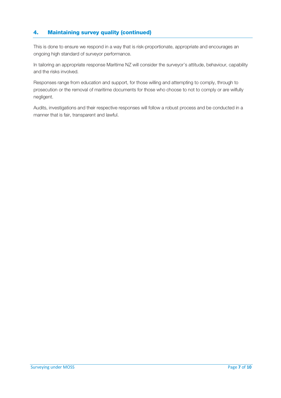#### 4. Maintaining survey quality (continued)

This is done to ensure we respond in a way that is risk-proportionate, appropriate and encourages an ongoing high standard of surveyor performance.

In tailoring an appropriate response Maritime NZ will consider the surveyor's attitude, behaviour, capability and the risks involved.

Responses range from education and support, for those willing and attempting to comply, through to prosecution or the removal of maritime documents for those who choose to not to comply or are wilfully negligent.

Audits, investigations and their respective responses will follow a robust process and be conducted in a manner that is fair, transparent and lawful.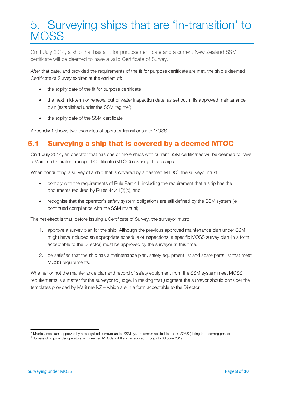# 5. Surveying ships that are 'in-transition' to **MOSS**

On 1 July 2014, a ship that has a fit for purpose certificate and a current New Zealand SSM certificate will be deemed to have a valid Certificate of Survey.

After that date, and provided the requirements of the fit for purpose certificate are met, the ship's deemed Certificate of Survey expires at the earliest of:

- the expiry date of the fit for purpose certificate
- the next mid-term or renewal out of water inspection date, as set out in its approved maintenance plan (established under the SSM regime $3$ )
- the expiry date of the SSM certificate.

Appendix 1 shows two examples of operator transitions into MOSS.

### 5.1 Surveying a ship that is covered by a deemed MTOC

On 1 July 2014, an operator that has one or more ships with current SSM certificates will be deemed to have a Maritime Operator Transport Certificate (MTOC) covering those ships.

When conducting a survey of a ship that is covered by a deemed MTOC<sup>4</sup>, the surveyor must:

- comply with the requirements of Rule Part 44, including the requirement that a ship has the documents required by Rules 44.41(2)(c); and
- recognise that the operator's safety system obligations are still defined by the SSM system (ie continued compliance with the SSM manual).

The net effect is that, before issuing a Certificate of Survey, the surveyor must:

- 1. approve a survey plan for the ship. Although the previous approved maintenance plan under SSM might have included an appropriate schedule of inspections, a specific MOSS survey plan (in a form acceptable to the Director) must be approved by the surveyor at this time.
- 2. be satisfied that the ship has a maintenance plan, safety equipment list and spare parts list that meet MOSS requirements.

Whether or not the maintenance plan and record of safety equipment from the SSM system meet MOSS requirements is a matter for the surveyor to judge. In making that judgment the surveyor should consider the templates provided by Maritime NZ – which are in a form acceptable to the Director.

<sup>3</sup>Maintenance plans approved by a recognised surveyor under SSM system remain applicable under MOSS (during the deeming phase).

<sup>4</sup>Surveys of ships under operators with deemed MTOCs will likely be required through to 30 June 2019.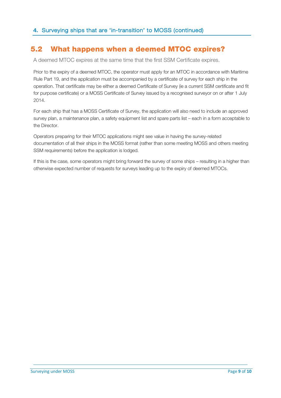### 5.2 What happens when a deemed MTOC expires?

A deemed MTOC expires at the same time that the first SSM Certificate expires.

Prior to the expiry of a deemed MTOC, the operator must apply for an MTOC in accordance with Maritime Rule Part 19, and the application must be accompanied by a certificate of survey for each ship in the operation. That certificate may be either a deemed Certificate of Survey (ie a current SSM certificate and fit for purpose certificate) or a MOSS Certificate of Survey issued by a recognised surveyor on or after 1 July 2014.

For each ship that has a MOSS Certificate of Survey, the application will also need to include an approved survey plan, a maintenance plan, a safety equipment list and spare parts list – each in a form acceptable to the Director.

Operators preparing for their MTOC applications might see value in having the survey-related documentation of all their ships in the MOSS format (rather than some meeting MOSS and others meeting SSM requirements) before the application is lodged.

If this is the case, some operators might bring forward the survey of some ships – resulting in a higher than otherwise expected number of requests for surveys leading up to the expiry of deemed MTOCs.